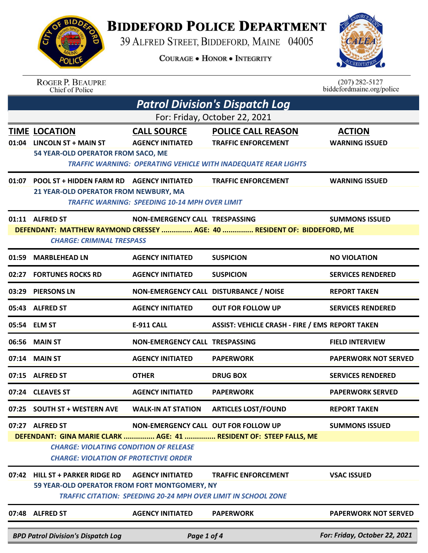## **BIDDEFORD POLICE DEPARTMENT**

39 ALFRED STREET, BIDDEFORD, MAINE 04005

**COURAGE . HONOR . INTEGRITY** 



| BIDDA  |  |
|--------|--|
|        |  |
| A e    |  |
| POLICE |  |
|        |  |

| $(207)$ 282-5127 |                           |
|------------------|---------------------------|
|                  | biddefordmaine.org/police |

|                                                                       | <b>ROGER P. BEAUPRE</b><br>Chief of Police                         |                                                       |                                                                         | $(207)$ 282-5127<br>biddefordmaine.org/police |  |
|-----------------------------------------------------------------------|--------------------------------------------------------------------|-------------------------------------------------------|-------------------------------------------------------------------------|-----------------------------------------------|--|
|                                                                       |                                                                    |                                                       | <b>Patrol Division's Dispatch Log</b>                                   |                                               |  |
|                                                                       |                                                                    |                                                       | For: Friday, October 22, 2021                                           |                                               |  |
|                                                                       | <b>TIME LOCATION</b>                                               | <b>CALL SOURCE</b>                                    | <b>POLICE CALL REASON</b>                                               | <b>ACTION</b>                                 |  |
|                                                                       | 01:04 LINCOLN ST + MAIN ST                                         | <b>AGENCY INITIATED</b>                               | <b>TRAFFIC ENFORCEMENT</b>                                              | <b>WARNING ISSUED</b>                         |  |
|                                                                       | 54 YEAR-OLD OPERATOR FROM SACO, ME                                 |                                                       |                                                                         |                                               |  |
|                                                                       |                                                                    |                                                       | TRAFFIC WARNING: OPERATING VEHICLE WITH INADEQUATE REAR LIGHTS          |                                               |  |
|                                                                       | 01:07 POOL ST + HIDDEN FARM RD AGENCY INITIATED                    |                                                       | <b>TRAFFIC ENFORCEMENT</b>                                              | <b>WARNING ISSUED</b>                         |  |
|                                                                       | 21 YEAR-OLD OPERATOR FROM NEWBURY, MA                              | <b>TRAFFIC WARNING: SPEEDING 10-14 MPH OVER LIMIT</b> |                                                                         |                                               |  |
|                                                                       |                                                                    |                                                       |                                                                         |                                               |  |
|                                                                       | 01:11 ALFRED ST                                                    | NON-EMERGENCY CALL TRESPASSING                        |                                                                         | <b>SUMMONS ISSUED</b>                         |  |
|                                                                       | <b>CHARGE: CRIMINAL TRESPASS</b>                                   |                                                       | DEFENDANT: MATTHEW RAYMOND CRESSEY  AGE: 40  RESIDENT OF: BIDDEFORD, ME |                                               |  |
|                                                                       |                                                                    |                                                       |                                                                         |                                               |  |
| 01:59                                                                 | <b>MARBLEHEAD LN</b>                                               | <b>AGENCY INITIATED</b>                               | <b>SUSPICION</b>                                                        | <b>NO VIOLATION</b>                           |  |
|                                                                       | 02:27 FORTUNES ROCKS RD                                            | <b>AGENCY INITIATED</b>                               | <b>SUSPICION</b>                                                        | <b>SERVICES RENDERED</b>                      |  |
| 03:29                                                                 | <b>PIERSONS LN</b>                                                 | NON-EMERGENCY CALL DISTURBANCE / NOISE                |                                                                         | <b>REPORT TAKEN</b>                           |  |
|                                                                       | 05:43 ALFRED ST                                                    | <b>AGENCY INITIATED</b>                               | <b>OUT FOR FOLLOW UP</b>                                                | <b>SERVICES RENDERED</b>                      |  |
|                                                                       | 05:54 ELM ST                                                       | <b>E-911 CALL</b>                                     | <b>ASSIST: VEHICLE CRASH - FIRE / EMS REPORT TAKEN</b>                  |                                               |  |
|                                                                       | 06:56 MAIN ST                                                      | NON-EMERGENCY CALL TRESPASSING                        |                                                                         | <b>FIELD INTERVIEW</b>                        |  |
| 07:14                                                                 | <b>MAIN ST</b>                                                     | <b>AGENCY INITIATED</b>                               | <b>PAPERWORK</b>                                                        | <b>PAPERWORK NOT SERVED</b>                   |  |
| 07:15                                                                 | <b>ALFRED ST</b>                                                   | <b>OTHER</b>                                          | <b>DRUG BOX</b>                                                         | <b>SERVICES RENDERED</b>                      |  |
|                                                                       | 07:24 CLEAVES ST                                                   | <b>AGENCY INITIATED</b>                               | <b>PAPERWORK</b>                                                        | <b>PAPERWORK SERVED</b>                       |  |
|                                                                       | 07:25 SOUTH ST + WESTERN AVE                                       | <b>WALK-IN AT STATION</b>                             | <b>ARTICLES LOST/FOUND</b>                                              | <b>REPORT TAKEN</b>                           |  |
|                                                                       | 07:27 ALFRED ST                                                    | NON-EMERGENCY CALL OUT FOR FOLLOW UP                  |                                                                         | <b>SUMMONS ISSUED</b>                         |  |
|                                                                       | DEFENDANT: GINA MARIE CLARK  AGE: 41  RESIDENT OF: STEEP FALLS, ME |                                                       |                                                                         |                                               |  |
|                                                                       | <b>CHARGE: VIOLATING CONDITION OF RELEASE</b>                      |                                                       |                                                                         |                                               |  |
|                                                                       | <b>CHARGE: VIOLATION OF PROTECTIVE ORDER</b>                       |                                                       |                                                                         |                                               |  |
|                                                                       | 07:42 HILL ST + PARKER RIDGE RD                                    | <b>AGENCY INITIATED</b>                               | <b>TRAFFIC ENFORCEMENT</b>                                              | <b>VSAC ISSUED</b>                            |  |
|                                                                       | 59 YEAR-OLD OPERATOR FROM FORT MONTGOMERY, NY                      |                                                       |                                                                         |                                               |  |
| <b>TRAFFIC CITATION: SPEEDING 20-24 MPH OVER LIMIT IN SCHOOL ZONE</b> |                                                                    |                                                       |                                                                         |                                               |  |
|                                                                       | 07:48 ALFRED ST                                                    | <b>AGENCY INITIATED</b>                               | <b>PAPERWORK</b>                                                        | <b>PAPERWORK NOT SERVED</b>                   |  |
|                                                                       | <b>BPD Patrol Division's Dispatch Log</b>                          | Page 1 of 4                                           |                                                                         | For: Friday, October 22, 2021                 |  |
|                                                                       |                                                                    |                                                       |                                                                         |                                               |  |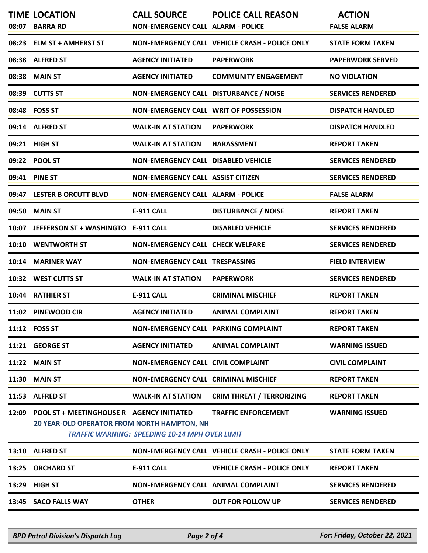| <b>ELM ST + AMHERST ST</b><br>NON-EMERGENCY CALL VEHICLE CRASH - POLICE ONLY<br><b>STATE FORM TAKEN</b><br>08:38 ALFRED ST<br><b>AGENCY INITIATED</b><br><b>PAPERWORK</b><br><b>PAPERWORK SERVED</b><br><b>MAIN ST</b><br><b>AGENCY INITIATED</b><br><b>COMMUNITY ENGAGEMENT</b><br><b>NO VIOLATION</b><br>08:39 CUTTS ST<br>NON-EMERGENCY CALL DISTURBANCE / NOISE<br><b>SERVICES RENDERED</b><br>08:48 FOSS ST<br>NON-EMERGENCY CALL WRIT OF POSSESSION<br><b>DISPATCH HANDLED</b><br>09:14 ALFRED ST<br><b>DISPATCH HANDLED</b><br><b>WALK-IN AT STATION</b><br><b>PAPERWORK</b><br>09:21 HIGH ST<br><b>WALK-IN AT STATION</b><br><b>HARASSMENT</b><br><b>REPORT TAKEN</b><br>09:22 POOL ST<br><b>NON-EMERGENCY CALL DISABLED VEHICLE</b><br><b>SERVICES RENDERED</b><br>09:41 PINE ST<br>NON-EMERGENCY CALL ASSIST CITIZEN<br><b>SERVICES RENDERED</b><br>09:47 LESTER B ORCUTT BLVD<br><b>NON-EMERGENCY CALL ALARM - POLICE</b><br><b>FALSE ALARM</b><br><b>MAIN ST</b><br><b>E-911 CALL</b><br><b>DISTURBANCE / NOISE</b><br><b>REPORT TAKEN</b><br>10:07 JEFFERSON ST + WASHINGTO E-911 CALL<br><b>DISABLED VEHICLE</b><br><b>SERVICES RENDERED</b><br>10:10 WENTWORTH ST<br><b>NON-EMERGENCY CALL CHECK WELFARE</b><br><b>SERVICES RENDERED</b><br><b>MARINER WAY</b><br>NON-EMERGENCY CALL TRESPASSING<br><b>FIELD INTERVIEW</b><br>10:14<br>10:32 WEST CUTTS ST<br><b>WALK-IN AT STATION</b><br><b>SERVICES RENDERED</b><br><b>PAPERWORK</b><br>10:44 RATHIER ST<br><b>E-911 CALL</b><br><b>CRIMINAL MISCHIEF</b><br><b>REPORT TAKEN</b><br><b>AGENCY INITIATED</b><br>11:02 PINEWOOD CIR<br><b>ANIMAL COMPLAINT</b><br><b>REPORT TAKEN</b><br>11:12 FOSS ST<br>NON-EMERGENCY CALL PARKING COMPLAINT<br><b>REPORT TAKEN</b><br>11:21 GEORGE ST<br><b>AGENCY INITIATED</b><br><b>ANIMAL COMPLAINT</b><br><b>WARNING ISSUED</b><br>11:22 MAIN ST<br>NON-EMERGENCY CALL CIVIL COMPLAINT<br><b>CIVIL COMPLAINT</b><br><b>MAIN ST</b><br>NON-EMERGENCY CALL CRIMINAL MISCHIEF<br>11:30<br><b>REPORT TAKEN</b><br>11:53 ALFRED ST<br><b>CRIM THREAT / TERRORIZING</b><br><b>WALK-IN AT STATION</b><br><b>REPORT TAKEN</b><br>12:09 POOL ST + MEETINGHOUSE R AGENCY INITIATED<br><b>TRAFFIC ENFORCEMENT</b><br><b>WARNING ISSUED</b><br>20 YEAR-OLD OPERATOR FROM NORTH HAMPTON, NH<br><b>TRAFFIC WARNING: SPEEDING 10-14 MPH OVER LIMIT</b><br>13:10 ALFRED ST<br>NON-EMERGENCY CALL VEHICLE CRASH - POLICE ONLY<br><b>STATE FORM TAKEN</b><br><b>ORCHARD ST</b><br>E-911 CALL<br><b>VEHICLE CRASH - POLICE ONLY</b><br><b>REPORT TAKEN</b><br><b>HIGH ST</b><br>NON-EMERGENCY CALL ANIMAL COMPLAINT<br><b>SERVICES RENDERED</b><br>13:29<br>13:45 SACO FALLS WAY<br><b>OTHER</b><br><b>OUT FOR FOLLOW UP</b><br><b>SERVICES RENDERED</b> | 08:07 | <b>TIME LOCATION</b><br><b>BARRA RD</b> | <b>CALL SOURCE</b><br><b>NON-EMERGENCY CALL ALARM - POLICE</b> | <b>POLICE CALL REASON</b> | <b>ACTION</b><br><b>FALSE ALARM</b> |
|-----------------------------------------------------------------------------------------------------------------------------------------------------------------------------------------------------------------------------------------------------------------------------------------------------------------------------------------------------------------------------------------------------------------------------------------------------------------------------------------------------------------------------------------------------------------------------------------------------------------------------------------------------------------------------------------------------------------------------------------------------------------------------------------------------------------------------------------------------------------------------------------------------------------------------------------------------------------------------------------------------------------------------------------------------------------------------------------------------------------------------------------------------------------------------------------------------------------------------------------------------------------------------------------------------------------------------------------------------------------------------------------------------------------------------------------------------------------------------------------------------------------------------------------------------------------------------------------------------------------------------------------------------------------------------------------------------------------------------------------------------------------------------------------------------------------------------------------------------------------------------------------------------------------------------------------------------------------------------------------------------------------------------------------------------------------------------------------------------------------------------------------------------------------------------------------------------------------------------------------------------------------------------------------------------------------------------------------------------------------------------------------------------------------------------------------------------------------------------------------------------------------------------------------------------------------------------------------------------------------------------------------------------------------------------------------------------------------------------------------------|-------|-----------------------------------------|----------------------------------------------------------------|---------------------------|-------------------------------------|
|                                                                                                                                                                                                                                                                                                                                                                                                                                                                                                                                                                                                                                                                                                                                                                                                                                                                                                                                                                                                                                                                                                                                                                                                                                                                                                                                                                                                                                                                                                                                                                                                                                                                                                                                                                                                                                                                                                                                                                                                                                                                                                                                                                                                                                                                                                                                                                                                                                                                                                                                                                                                                                                                                                                                               | 08:23 |                                         |                                                                |                           |                                     |
|                                                                                                                                                                                                                                                                                                                                                                                                                                                                                                                                                                                                                                                                                                                                                                                                                                                                                                                                                                                                                                                                                                                                                                                                                                                                                                                                                                                                                                                                                                                                                                                                                                                                                                                                                                                                                                                                                                                                                                                                                                                                                                                                                                                                                                                                                                                                                                                                                                                                                                                                                                                                                                                                                                                                               |       |                                         |                                                                |                           |                                     |
|                                                                                                                                                                                                                                                                                                                                                                                                                                                                                                                                                                                                                                                                                                                                                                                                                                                                                                                                                                                                                                                                                                                                                                                                                                                                                                                                                                                                                                                                                                                                                                                                                                                                                                                                                                                                                                                                                                                                                                                                                                                                                                                                                                                                                                                                                                                                                                                                                                                                                                                                                                                                                                                                                                                                               | 08:38 |                                         |                                                                |                           |                                     |
|                                                                                                                                                                                                                                                                                                                                                                                                                                                                                                                                                                                                                                                                                                                                                                                                                                                                                                                                                                                                                                                                                                                                                                                                                                                                                                                                                                                                                                                                                                                                                                                                                                                                                                                                                                                                                                                                                                                                                                                                                                                                                                                                                                                                                                                                                                                                                                                                                                                                                                                                                                                                                                                                                                                                               |       |                                         |                                                                |                           |                                     |
|                                                                                                                                                                                                                                                                                                                                                                                                                                                                                                                                                                                                                                                                                                                                                                                                                                                                                                                                                                                                                                                                                                                                                                                                                                                                                                                                                                                                                                                                                                                                                                                                                                                                                                                                                                                                                                                                                                                                                                                                                                                                                                                                                                                                                                                                                                                                                                                                                                                                                                                                                                                                                                                                                                                                               |       |                                         |                                                                |                           |                                     |
|                                                                                                                                                                                                                                                                                                                                                                                                                                                                                                                                                                                                                                                                                                                                                                                                                                                                                                                                                                                                                                                                                                                                                                                                                                                                                                                                                                                                                                                                                                                                                                                                                                                                                                                                                                                                                                                                                                                                                                                                                                                                                                                                                                                                                                                                                                                                                                                                                                                                                                                                                                                                                                                                                                                                               |       |                                         |                                                                |                           |                                     |
|                                                                                                                                                                                                                                                                                                                                                                                                                                                                                                                                                                                                                                                                                                                                                                                                                                                                                                                                                                                                                                                                                                                                                                                                                                                                                                                                                                                                                                                                                                                                                                                                                                                                                                                                                                                                                                                                                                                                                                                                                                                                                                                                                                                                                                                                                                                                                                                                                                                                                                                                                                                                                                                                                                                                               |       |                                         |                                                                |                           |                                     |
|                                                                                                                                                                                                                                                                                                                                                                                                                                                                                                                                                                                                                                                                                                                                                                                                                                                                                                                                                                                                                                                                                                                                                                                                                                                                                                                                                                                                                                                                                                                                                                                                                                                                                                                                                                                                                                                                                                                                                                                                                                                                                                                                                                                                                                                                                                                                                                                                                                                                                                                                                                                                                                                                                                                                               |       |                                         |                                                                |                           |                                     |
|                                                                                                                                                                                                                                                                                                                                                                                                                                                                                                                                                                                                                                                                                                                                                                                                                                                                                                                                                                                                                                                                                                                                                                                                                                                                                                                                                                                                                                                                                                                                                                                                                                                                                                                                                                                                                                                                                                                                                                                                                                                                                                                                                                                                                                                                                                                                                                                                                                                                                                                                                                                                                                                                                                                                               |       |                                         |                                                                |                           |                                     |
|                                                                                                                                                                                                                                                                                                                                                                                                                                                                                                                                                                                                                                                                                                                                                                                                                                                                                                                                                                                                                                                                                                                                                                                                                                                                                                                                                                                                                                                                                                                                                                                                                                                                                                                                                                                                                                                                                                                                                                                                                                                                                                                                                                                                                                                                                                                                                                                                                                                                                                                                                                                                                                                                                                                                               |       |                                         |                                                                |                           |                                     |
|                                                                                                                                                                                                                                                                                                                                                                                                                                                                                                                                                                                                                                                                                                                                                                                                                                                                                                                                                                                                                                                                                                                                                                                                                                                                                                                                                                                                                                                                                                                                                                                                                                                                                                                                                                                                                                                                                                                                                                                                                                                                                                                                                                                                                                                                                                                                                                                                                                                                                                                                                                                                                                                                                                                                               | 09:50 |                                         |                                                                |                           |                                     |
|                                                                                                                                                                                                                                                                                                                                                                                                                                                                                                                                                                                                                                                                                                                                                                                                                                                                                                                                                                                                                                                                                                                                                                                                                                                                                                                                                                                                                                                                                                                                                                                                                                                                                                                                                                                                                                                                                                                                                                                                                                                                                                                                                                                                                                                                                                                                                                                                                                                                                                                                                                                                                                                                                                                                               |       |                                         |                                                                |                           |                                     |
|                                                                                                                                                                                                                                                                                                                                                                                                                                                                                                                                                                                                                                                                                                                                                                                                                                                                                                                                                                                                                                                                                                                                                                                                                                                                                                                                                                                                                                                                                                                                                                                                                                                                                                                                                                                                                                                                                                                                                                                                                                                                                                                                                                                                                                                                                                                                                                                                                                                                                                                                                                                                                                                                                                                                               |       |                                         |                                                                |                           |                                     |
|                                                                                                                                                                                                                                                                                                                                                                                                                                                                                                                                                                                                                                                                                                                                                                                                                                                                                                                                                                                                                                                                                                                                                                                                                                                                                                                                                                                                                                                                                                                                                                                                                                                                                                                                                                                                                                                                                                                                                                                                                                                                                                                                                                                                                                                                                                                                                                                                                                                                                                                                                                                                                                                                                                                                               |       |                                         |                                                                |                           |                                     |
|                                                                                                                                                                                                                                                                                                                                                                                                                                                                                                                                                                                                                                                                                                                                                                                                                                                                                                                                                                                                                                                                                                                                                                                                                                                                                                                                                                                                                                                                                                                                                                                                                                                                                                                                                                                                                                                                                                                                                                                                                                                                                                                                                                                                                                                                                                                                                                                                                                                                                                                                                                                                                                                                                                                                               |       |                                         |                                                                |                           |                                     |
|                                                                                                                                                                                                                                                                                                                                                                                                                                                                                                                                                                                                                                                                                                                                                                                                                                                                                                                                                                                                                                                                                                                                                                                                                                                                                                                                                                                                                                                                                                                                                                                                                                                                                                                                                                                                                                                                                                                                                                                                                                                                                                                                                                                                                                                                                                                                                                                                                                                                                                                                                                                                                                                                                                                                               |       |                                         |                                                                |                           |                                     |
|                                                                                                                                                                                                                                                                                                                                                                                                                                                                                                                                                                                                                                                                                                                                                                                                                                                                                                                                                                                                                                                                                                                                                                                                                                                                                                                                                                                                                                                                                                                                                                                                                                                                                                                                                                                                                                                                                                                                                                                                                                                                                                                                                                                                                                                                                                                                                                                                                                                                                                                                                                                                                                                                                                                                               |       |                                         |                                                                |                           |                                     |
|                                                                                                                                                                                                                                                                                                                                                                                                                                                                                                                                                                                                                                                                                                                                                                                                                                                                                                                                                                                                                                                                                                                                                                                                                                                                                                                                                                                                                                                                                                                                                                                                                                                                                                                                                                                                                                                                                                                                                                                                                                                                                                                                                                                                                                                                                                                                                                                                                                                                                                                                                                                                                                                                                                                                               |       |                                         |                                                                |                           |                                     |
|                                                                                                                                                                                                                                                                                                                                                                                                                                                                                                                                                                                                                                                                                                                                                                                                                                                                                                                                                                                                                                                                                                                                                                                                                                                                                                                                                                                                                                                                                                                                                                                                                                                                                                                                                                                                                                                                                                                                                                                                                                                                                                                                                                                                                                                                                                                                                                                                                                                                                                                                                                                                                                                                                                                                               |       |                                         |                                                                |                           |                                     |
|                                                                                                                                                                                                                                                                                                                                                                                                                                                                                                                                                                                                                                                                                                                                                                                                                                                                                                                                                                                                                                                                                                                                                                                                                                                                                                                                                                                                                                                                                                                                                                                                                                                                                                                                                                                                                                                                                                                                                                                                                                                                                                                                                                                                                                                                                                                                                                                                                                                                                                                                                                                                                                                                                                                                               |       |                                         |                                                                |                           |                                     |
|                                                                                                                                                                                                                                                                                                                                                                                                                                                                                                                                                                                                                                                                                                                                                                                                                                                                                                                                                                                                                                                                                                                                                                                                                                                                                                                                                                                                                                                                                                                                                                                                                                                                                                                                                                                                                                                                                                                                                                                                                                                                                                                                                                                                                                                                                                                                                                                                                                                                                                                                                                                                                                                                                                                                               |       |                                         |                                                                |                           |                                     |
|                                                                                                                                                                                                                                                                                                                                                                                                                                                                                                                                                                                                                                                                                                                                                                                                                                                                                                                                                                                                                                                                                                                                                                                                                                                                                                                                                                                                                                                                                                                                                                                                                                                                                                                                                                                                                                                                                                                                                                                                                                                                                                                                                                                                                                                                                                                                                                                                                                                                                                                                                                                                                                                                                                                                               |       |                                         |                                                                |                           |                                     |
|                                                                                                                                                                                                                                                                                                                                                                                                                                                                                                                                                                                                                                                                                                                                                                                                                                                                                                                                                                                                                                                                                                                                                                                                                                                                                                                                                                                                                                                                                                                                                                                                                                                                                                                                                                                                                                                                                                                                                                                                                                                                                                                                                                                                                                                                                                                                                                                                                                                                                                                                                                                                                                                                                                                                               |       |                                         |                                                                |                           |                                     |
|                                                                                                                                                                                                                                                                                                                                                                                                                                                                                                                                                                                                                                                                                                                                                                                                                                                                                                                                                                                                                                                                                                                                                                                                                                                                                                                                                                                                                                                                                                                                                                                                                                                                                                                                                                                                                                                                                                                                                                                                                                                                                                                                                                                                                                                                                                                                                                                                                                                                                                                                                                                                                                                                                                                                               |       |                                         |                                                                |                           |                                     |
|                                                                                                                                                                                                                                                                                                                                                                                                                                                                                                                                                                                                                                                                                                                                                                                                                                                                                                                                                                                                                                                                                                                                                                                                                                                                                                                                                                                                                                                                                                                                                                                                                                                                                                                                                                                                                                                                                                                                                                                                                                                                                                                                                                                                                                                                                                                                                                                                                                                                                                                                                                                                                                                                                                                                               | 13:25 |                                         |                                                                |                           |                                     |
|                                                                                                                                                                                                                                                                                                                                                                                                                                                                                                                                                                                                                                                                                                                                                                                                                                                                                                                                                                                                                                                                                                                                                                                                                                                                                                                                                                                                                                                                                                                                                                                                                                                                                                                                                                                                                                                                                                                                                                                                                                                                                                                                                                                                                                                                                                                                                                                                                                                                                                                                                                                                                                                                                                                                               |       |                                         |                                                                |                           |                                     |
|                                                                                                                                                                                                                                                                                                                                                                                                                                                                                                                                                                                                                                                                                                                                                                                                                                                                                                                                                                                                                                                                                                                                                                                                                                                                                                                                                                                                                                                                                                                                                                                                                                                                                                                                                                                                                                                                                                                                                                                                                                                                                                                                                                                                                                                                                                                                                                                                                                                                                                                                                                                                                                                                                                                                               |       |                                         |                                                                |                           |                                     |

*BPD Patrol Division's Dispatch Log Page 2 of 4 For: Friday, October 22, 2021*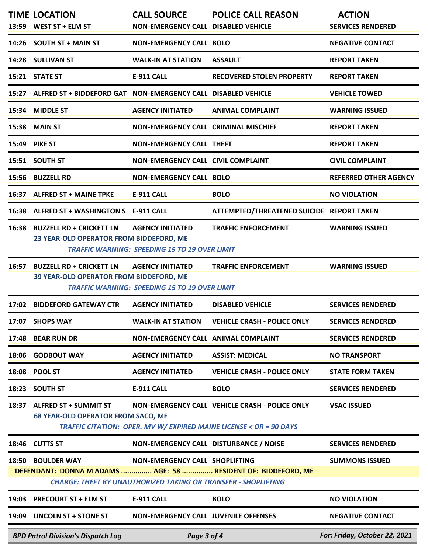| 13:59 | <b>TIME LOCATION</b><br>WEST ST + ELM ST                                   | <b>CALL SOURCE</b><br>NON-EMERGENCY CALL DISABLED VEHICLE                                               | <b>POLICE CALL REASON</b>                                                                                            | <b>ACTION</b><br><b>SERVICES RENDERED</b> |
|-------|----------------------------------------------------------------------------|---------------------------------------------------------------------------------------------------------|----------------------------------------------------------------------------------------------------------------------|-------------------------------------------|
|       | 14:26 SOUTH ST + MAIN ST                                                   | <b>NON-EMERGENCY CALL BOLO</b>                                                                          |                                                                                                                      | <b>NEGATIVE CONTACT</b>                   |
|       | 14:28 SULLIVAN ST                                                          | <b>WALK-IN AT STATION</b>                                                                               | <b>ASSAULT</b>                                                                                                       | <b>REPORT TAKEN</b>                       |
|       | 15:21 STATE ST                                                             | <b>E-911 CALL</b>                                                                                       | <b>RECOVERED STOLEN PROPERTY</b>                                                                                     | <b>REPORT TAKEN</b>                       |
| 15:27 | ALFRED ST + BIDDEFORD GAT NON-EMERGENCY CALL DISABLED VEHICLE              |                                                                                                         |                                                                                                                      | <b>VEHICLE TOWED</b>                      |
| 15:34 | <b>MIDDLE ST</b>                                                           | <b>AGENCY INITIATED</b>                                                                                 | <b>ANIMAL COMPLAINT</b>                                                                                              | <b>WARNING ISSUED</b>                     |
| 15:38 | <b>MAIN ST</b>                                                             | NON-EMERGENCY CALL CRIMINAL MISCHIEF                                                                    |                                                                                                                      | <b>REPORT TAKEN</b>                       |
| 15:49 | <b>PIKE ST</b>                                                             | <b>NON-EMERGENCY CALL THEFT</b>                                                                         |                                                                                                                      | <b>REPORT TAKEN</b>                       |
|       | 15:51 SOUTH ST                                                             | <b>NON-EMERGENCY CALL CIVIL COMPLAINT</b>                                                               |                                                                                                                      | <b>CIVIL COMPLAINT</b>                    |
| 15:56 | <b>BUZZELL RD</b>                                                          | <b>NON-EMERGENCY CALL BOLO</b>                                                                          |                                                                                                                      | <b>REFERRED OTHER AGENCY</b>              |
| 16:37 | <b>ALFRED ST + MAINE TPKE</b>                                              | <b>E-911 CALL</b>                                                                                       | <b>BOLO</b>                                                                                                          | <b>NO VIOLATION</b>                       |
| 16:38 | ALFRED ST + WASHINGTON S E-911 CALL                                        |                                                                                                         | ATTEMPTED/THREATENED SUICIDE REPORT TAKEN                                                                            |                                           |
| 16:38 | <b>BUZZELL RD + CRICKETT LN</b><br>23 YEAR-OLD OPERATOR FROM BIDDEFORD, ME | <b>AGENCY INITIATED</b><br><b>TRAFFIC WARNING: SPEEDING 15 TO 19 OVER LIMIT</b>                         | <b>TRAFFIC ENFORCEMENT</b>                                                                                           | <b>WARNING ISSUED</b>                     |
| 16:57 | <b>BUZZELL RD + CRICKETT LN</b><br>39 YEAR-OLD OPERATOR FROM BIDDEFORD, ME | <b>AGENCY INITIATED</b><br><b>TRAFFIC WARNING: SPEEDING 15 TO 19 OVER LIMIT</b>                         | <b>TRAFFIC ENFORCEMENT</b>                                                                                           | <b>WARNING ISSUED</b>                     |
| 17:02 | <b>BIDDEFORD GATEWAY CTR</b>                                               | <b>AGENCY INITIATED</b>                                                                                 | <b>DISABLED VEHICLE</b>                                                                                              | <b>SERVICES RENDERED</b>                  |
|       | 17:07 SHOPS WAY                                                            |                                                                                                         | <b>WALK-IN AT STATION VEHICLE CRASH - POLICE ONLY</b>                                                                | <b>SERVICES RENDERED</b>                  |
| 17:48 | <b>BEAR RUN DR</b>                                                         | NON-EMERGENCY CALL ANIMAL COMPLAINT                                                                     |                                                                                                                      | <b>SERVICES RENDERED</b>                  |
| 18:06 | <b>GODBOUT WAY</b>                                                         | <b>AGENCY INITIATED</b>                                                                                 | <b>ASSIST: MEDICAL</b>                                                                                               | <b>NO TRANSPORT</b>                       |
| 18:08 |                                                                            |                                                                                                         |                                                                                                                      |                                           |
|       | <b>POOL ST</b>                                                             | <b>AGENCY INITIATED</b>                                                                                 | <b>VEHICLE CRASH - POLICE ONLY</b>                                                                                   | <b>STATE FORM TAKEN</b>                   |
|       | 18:23 SOUTH ST                                                             | <b>E-911 CALL</b>                                                                                       | <b>BOLO</b>                                                                                                          | <b>SERVICES RENDERED</b>                  |
| 18:37 | <b>ALFRED ST + SUMMIT ST</b><br><b>68 YEAR-OLD OPERATOR FROM SACO, ME</b>  |                                                                                                         | NON-EMERGENCY CALL VEHICLE CRASH - POLICE ONLY<br>TRAFFIC CITATION: OPER. MV W/ EXPIRED MAINE LICENSE < OR = 90 DAYS | <b>VSAC ISSUED</b>                        |
|       | 18:46 CUTTS ST                                                             | NON-EMERGENCY CALL DISTURBANCE / NOISE                                                                  |                                                                                                                      | <b>SERVICES RENDERED</b>                  |
|       | 18:50 BOULDER WAY                                                          | NON-EMERGENCY CALL SHOPLIFTING<br><b>CHARGE: THEFT BY UNAUTHORIZED TAKING OR TRANSFER - SHOPLIFTING</b> | DEFENDANT: DONNA M ADAMS  AGE: 58  RESIDENT OF: BIDDEFORD, ME                                                        | <b>SUMMONS ISSUED</b>                     |
| 19:03 | <b>PRECOURT ST + ELM ST</b>                                                | <b>E-911 CALL</b>                                                                                       | <b>BOLO</b>                                                                                                          | <b>NO VIOLATION</b>                       |
| 19:09 | <b>LINCOLN ST + STONE ST</b>                                               | NON-EMERGENCY CALL JUVENILE OFFENSES                                                                    |                                                                                                                      | <b>NEGATIVE CONTACT</b>                   |